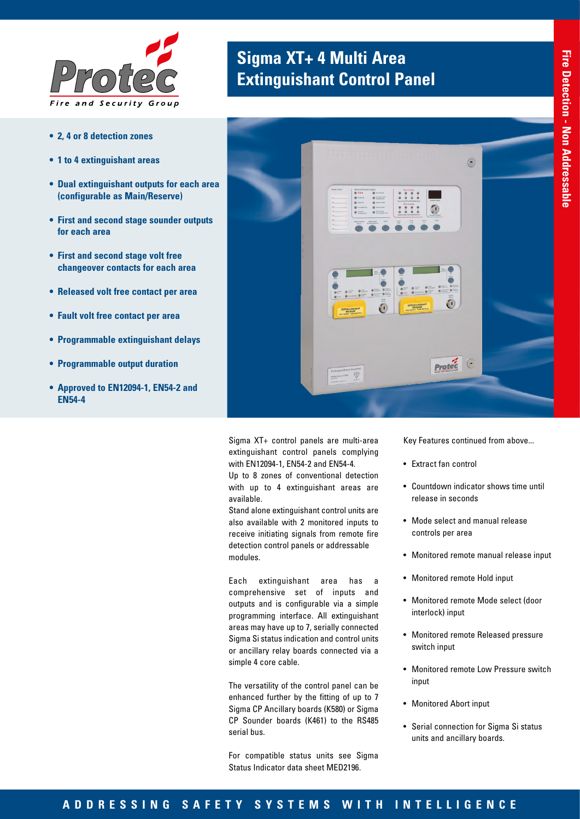

- **• 2, 4 or 8 detection zones**
- **• 1 to 4 extinguishant areas**
- **• Dual extinguishant outputs for each area (configurable as Main/Reserve)**
- **• First and second stage sounder outputs for each area**
- **• First and second stage volt free changeover contacts for each area**
- **• Released volt free contact per area**
- **• Fault volt free contact per area**
- **• Programmable extinguishant delays**
- **• Programmable output duration**
- **• Approved to EN12094-1, EN54-2 and EN54-4**

### **Sigma XT+ 4 Multi Area Extinguishant Control Panel**



Sigma XT+ control panels are multi-area extinguishant control panels complying with EN12094-1, EN54-2 and EN54-4.

Up to 8 zones of conventional detection with up to 4 extinguishant areas are available.

Stand alone extinguishant control units are also available with 2 monitored inputs to receive initiating signals from remote fire detection control panels or addressable modules.

Each extinguishant area has a comprehensive set of inputs and outputs and is configurable via a simple programming interface. All extinguishant areas may have up to 7, serially connected Sigma Si status indication and control units or ancillary relay boards connected via a simple 4 core cable.

The versatility of the control panel can be enhanced further by the fitting of up to 7 Sigma CP Ancillary boards (K580) or Sigma CP Sounder boards (K461) to the RS485 serial bus.

For compatible status units see Sigma Status Indicator data sheet MED2196.

Key Features continued from above...

- Extract fan control
- Countdown indicator shows time until release in seconds
- Mode select and manual release controls per area
- Monitored remote manual release input
- Monitored remote Hold input
- Monitored remote Mode select (door interlock) input
- Monitored remote Released pressure switch input
- Monitored remote Low Pressure switch input
- Monitored Abort input
- Serial connection for Sigma Si status units and ancillary boards.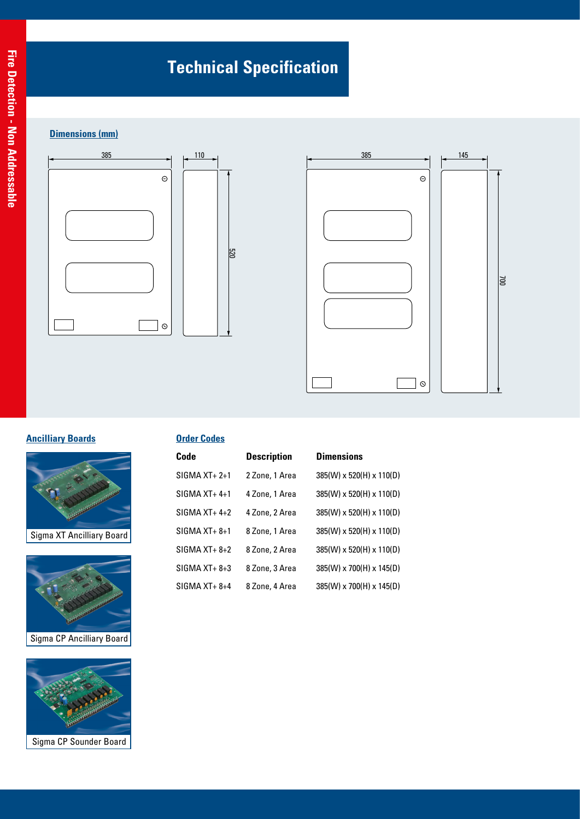## **Technical Specification**

#### **Dimensions (mm)**





#### **Ancilliary Boards**



Sigma XT Ancilliary Board





| <b>Order Codes</b> |                    |                          |  |  |
|--------------------|--------------------|--------------------------|--|--|
| Code               | <b>Description</b> | <b>Dimensions</b>        |  |  |
| $SIGMA XT+2+1$     | 2 Zone, 1 Area     | 385(W) x 520(H) x 110(D) |  |  |
| $SIGMA XT+4+1$     | 4 Zone, 1 Area     | 385(W) x 520(H) x 110(D) |  |  |
| $SIGMA XT+4+2$     | 4 Zone, 2 Area     | 385(W) x 520(H) x 110(D) |  |  |
| $SIGMA XT + 8+1$   | 8 Zone, 1 Area     | 385(W) x 520(H) x 110(D) |  |  |
| $SIGMA XT + 8 + 2$ | 8 Zone, 2 Area     | 385(W) x 520(H) x 110(D) |  |  |
| $SIGMA XT+8+3$     | 8 Zone, 3 Area     | 385(W) x 700(H) x 145(D) |  |  |
| $SIGMA XT+8+4$     | 8 Zone, 4 Area     | 385(W) x 700(H) x 145(D) |  |  |